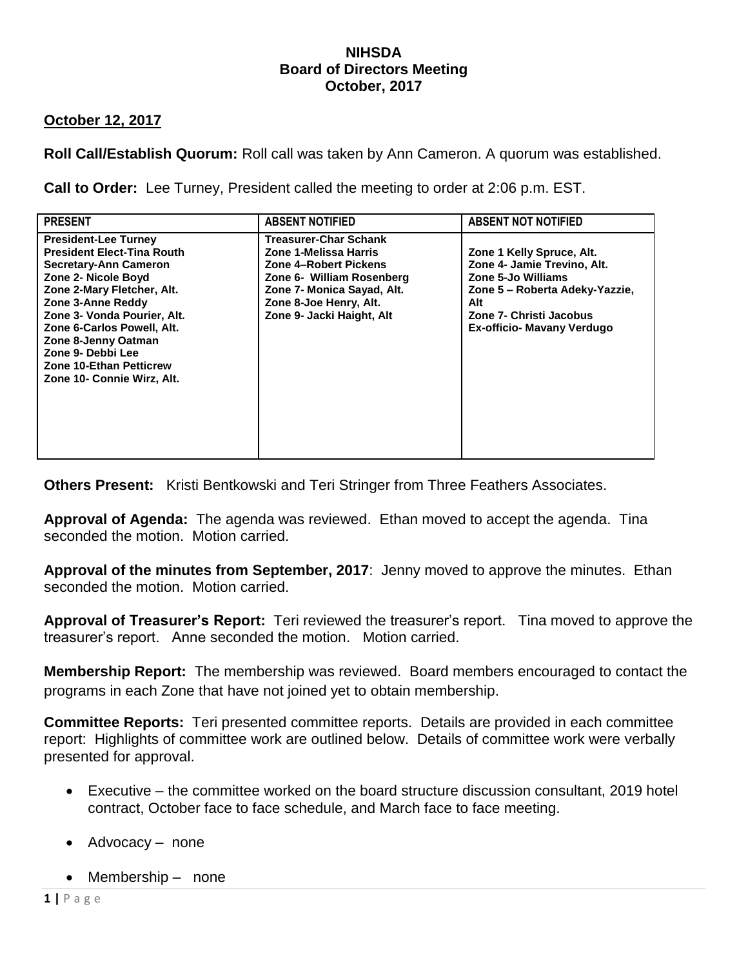### **NIHSDA Board of Directors Meeting October, 2017**

## **October 12, 2017**

**Roll Call/Establish Quorum:** Roll call was taken by Ann Cameron. A quorum was established.

**Call to Order:** Lee Turney, President called the meeting to order at 2:06 p.m. EST.

| <b>PRESENT</b>                                                                                                                                                                                                                                                                                                                                      | <b>ABSENT NOTIFIED</b>                                                                                                                                                                    | <b>ABSENT NOT NOTIFIED</b>                                                                                                                                                       |
|-----------------------------------------------------------------------------------------------------------------------------------------------------------------------------------------------------------------------------------------------------------------------------------------------------------------------------------------------------|-------------------------------------------------------------------------------------------------------------------------------------------------------------------------------------------|----------------------------------------------------------------------------------------------------------------------------------------------------------------------------------|
| <b>President-Lee Turney</b><br><b>President Elect-Tina Routh</b><br><b>Secretary-Ann Cameron</b><br>Zone 2- Nicole Boyd<br>Zone 2-Mary Fletcher, Alt.<br>Zone 3-Anne Reddy<br>Zone 3- Vonda Pourier, Alt.<br>Zone 6-Carlos Powell, Alt.<br>Zone 8-Jenny Oatman<br>Zone 9- Debbi Lee<br><b>Zone 10-Ethan Petticrew</b><br>Zone 10- Connie Wirz, Alt. | Treasurer-Char Schank<br>Zone 1-Melissa Harris<br>Zone 4-Robert Pickens<br>Zone 6- William Rosenberg<br>Zone 7- Monica Sayad, Alt.<br>Zone 8-Joe Henry, Alt.<br>Zone 9- Jacki Haight, Alt | Zone 1 Kelly Spruce, Alt.<br>Zone 4- Jamie Trevino, Alt.<br>Zone 5-Jo Williams<br>Zone 5 - Roberta Adeky-Yazzie,<br>Alt<br>Zone 7- Christi Jacobus<br>Ex-officio- Mavany Verdugo |

**Others Present:** Kristi Bentkowski and Teri Stringer from Three Feathers Associates.

**Approval of Agenda:** The agenda was reviewed. Ethan moved to accept the agenda. Tina seconded the motion. Motion carried.

**Approval of the minutes from September, 2017**: Jenny moved to approve the minutes. Ethan seconded the motion. Motion carried.

**Approval of Treasurer's Report:** Teri reviewed the treasurer's report. Tina moved to approve the treasurer's report. Anne seconded the motion. Motion carried.

**Membership Report:** The membership was reviewed. Board members encouraged to contact the programs in each Zone that have not joined yet to obtain membership.

**Committee Reports:** Teri presented committee reports. Details are provided in each committee report: Highlights of committee work are outlined below. Details of committee work were verbally presented for approval.

- Executive the committee worked on the board structure discussion consultant, 2019 hotel contract, October face to face schedule, and March face to face meeting.
- Advocacy none
- Membership none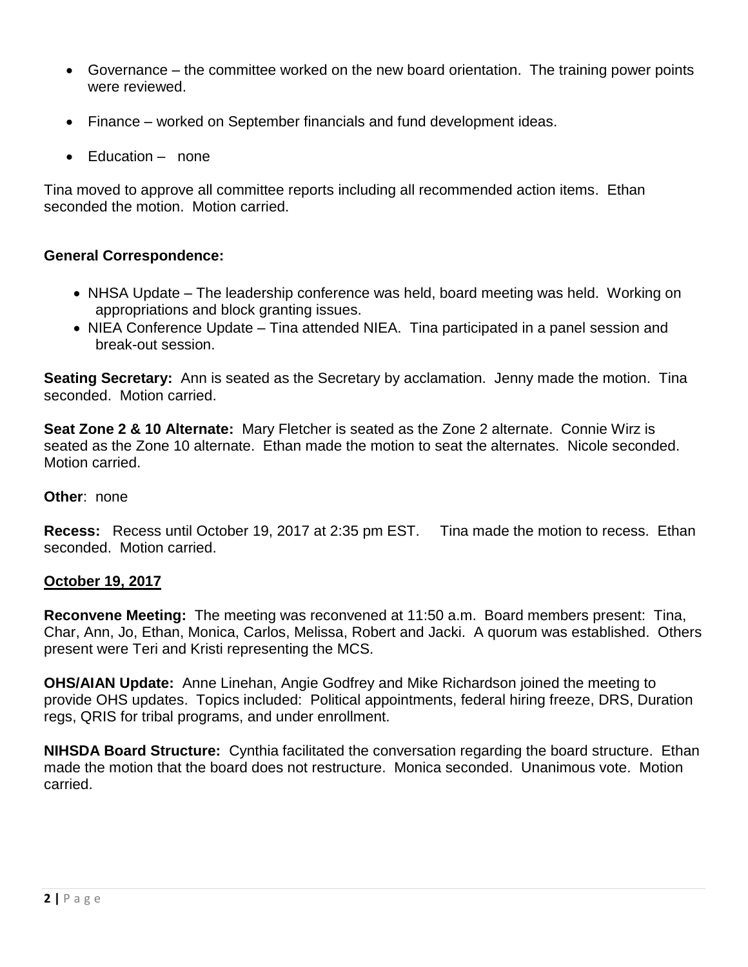- Governance the committee worked on the new board orientation. The training power points were reviewed.
- Finance worked on September financials and fund development ideas.
- Education none

Tina moved to approve all committee reports including all recommended action items. Ethan seconded the motion. Motion carried.

# **General Correspondence:**

- NHSA Update The leadership conference was held, board meeting was held. Working on appropriations and block granting issues.
- NIEA Conference Update Tina attended NIEA. Tina participated in a panel session and break-out session.

**Seating Secretary:** Ann is seated as the Secretary by acclamation. Jenny made the motion. Tina seconded. Motion carried.

**Seat Zone 2 & 10 Alternate:** Mary Fletcher is seated as the Zone 2 alternate. Connie Wirz is seated as the Zone 10 alternate. Ethan made the motion to seat the alternates. Nicole seconded. Motion carried.

## **Other**: none

**Recess:** Recess until October 19, 2017 at 2:35 pm EST. Tina made the motion to recess. Ethan seconded. Motion carried.

## **October 19, 2017**

**Reconvene Meeting:** The meeting was reconvened at 11:50 a.m. Board members present: Tina, Char, Ann, Jo, Ethan, Monica, Carlos, Melissa, Robert and Jacki. A quorum was established. Others present were Teri and Kristi representing the MCS.

**OHS/AIAN Update:** Anne Linehan, Angie Godfrey and Mike Richardson joined the meeting to provide OHS updates. Topics included: Political appointments, federal hiring freeze, DRS, Duration regs, QRIS for tribal programs, and under enrollment.

**NIHSDA Board Structure:** Cynthia facilitated the conversation regarding the board structure. Ethan made the motion that the board does not restructure. Monica seconded. Unanimous vote. Motion carried.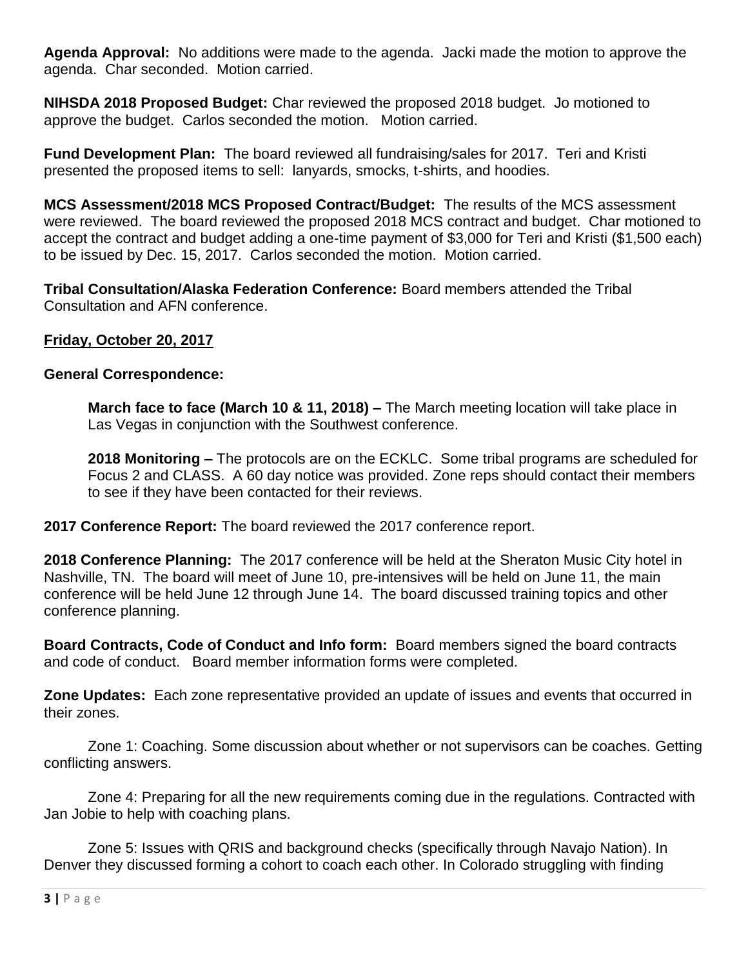**Agenda Approval:** No additions were made to the agenda. Jacki made the motion to approve the agenda. Char seconded. Motion carried.

**NIHSDA 2018 Proposed Budget:** Char reviewed the proposed 2018 budget. Jo motioned to approve the budget. Carlos seconded the motion. Motion carried.

**Fund Development Plan:** The board reviewed all fundraising/sales for 2017. Teri and Kristi presented the proposed items to sell: lanyards, smocks, t-shirts, and hoodies.

**MCS Assessment/2018 MCS Proposed Contract/Budget:** The results of the MCS assessment were reviewed. The board reviewed the proposed 2018 MCS contract and budget. Char motioned to accept the contract and budget adding a one-time payment of \$3,000 for Teri and Kristi (\$1,500 each) to be issued by Dec. 15, 2017. Carlos seconded the motion. Motion carried.

**Tribal Consultation/Alaska Federation Conference:** Board members attended the Tribal Consultation and AFN conference.

# **Friday, October 20, 2017**

## **General Correspondence:**

**March face to face (March 10 & 11, 2018) –** The March meeting location will take place in Las Vegas in conjunction with the Southwest conference.

**2018 Monitoring –** The protocols are on the ECKLC. Some tribal programs are scheduled for Focus 2 and CLASS. A 60 day notice was provided. Zone reps should contact their members to see if they have been contacted for their reviews.

**2017 Conference Report:** The board reviewed the 2017 conference report.

**2018 Conference Planning:** The 2017 conference will be held at the Sheraton Music City hotel in Nashville, TN. The board will meet of June 10, pre-intensives will be held on June 11, the main conference will be held June 12 through June 14. The board discussed training topics and other conference planning.

**Board Contracts, Code of Conduct and Info form:** Board members signed the board contracts and code of conduct. Board member information forms were completed.

**Zone Updates:** Each zone representative provided an update of issues and events that occurred in their zones.

Zone 1: Coaching. Some discussion about whether or not supervisors can be coaches. Getting conflicting answers.

Zone 4: Preparing for all the new requirements coming due in the regulations. Contracted with Jan Jobie to help with coaching plans.

Zone 5: Issues with QRIS and background checks (specifically through Navajo Nation). In Denver they discussed forming a cohort to coach each other. In Colorado struggling with finding